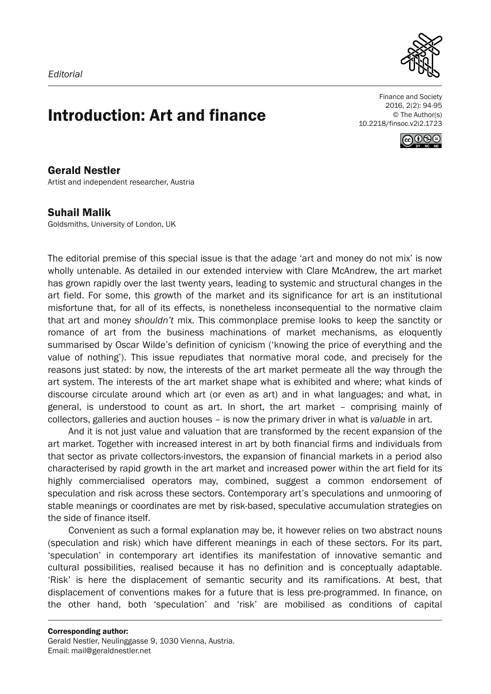

## Introduction: Art and finance

Finance and Society 2016, 2(2): 94-95 © The Author(s) 10.2218/finsoc.v2i2.1723



Gerald Nestler Artist and independent researcher, Austria

## Suhail Malik

Goldsmiths, University of London, UK

The editorial premise of this special issue is that the adage 'art and money do not mix' is now wholly untenable. As detailed in our extended interview with Clare McAndrew, the art market has grown rapidly over the last twenty years, leading to systemic and structural changes in the art field. For some, this growth of the market and its significance for art is an institutional misfortune that, for all of its effects, is nonetheless inconsequential to the normative claim that art and money *shouldn't* mix. This commonplace premise looks to keep the sanctity or romance of art from the business machinations of market mechanisms, as eloquently summarised by Oscar Wilde's definition of cynicism ('knowing the price of everything and the value of nothing'). This issue repudiates that normative moral code, and precisely for the reasons just stated: by now, the interests of the art market permeate all the way through the art system. The interests of the art market shape what is exhibited and where; what kinds of discourse circulate around which art (or even as art) and in what languages; and what, in general, is understood to count as art. In short, the art market – comprising mainly of collectors, galleries and auction houses – is now the primary driver in what is *valuable* in art.

And it is not just value and valuation that are transformed by the recent expansion of the art market. Together with increased interest in art by both financial firms and individuals from that sector as private collectors-investors, the expansion of financial markets in a period also characterised by rapid growth in the art market and increased power within the art field for its highly commercialised operators may, combined, suggest a common endorsement of speculation and risk across these sectors. Contemporary art's speculations and unmooring of stable meanings or coordinates are met by risk-based, speculative accumulation strategies on the side of finance itself.

Convenient as such a formal explanation may be, it however relies on two abstract nouns (speculation and risk) which have different meanings in each of these sectors. For its part, 'speculation' in contemporary art identifies its manifestation of innovative semantic and cultural possibilities, realised because it has no definition and is conceptually adaptable. 'Risk' is here the displacement of semantic security and its ramifications. At best, that displacement of conventions makes for a future that is less pre-programmed. In finance, on the other hand, both 'speculation' and 'risk' are mobilised as conditions of capital